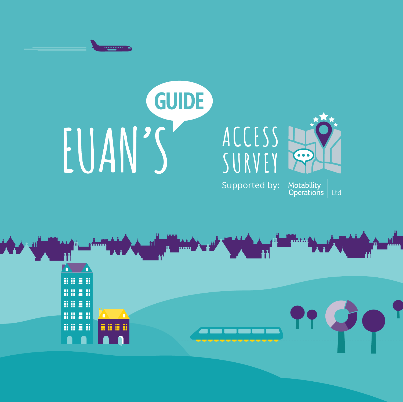

# GUIDE EUAN'S

## **ACCESS SURVEY**



Supported by:

Motability<br>Operations Ltd

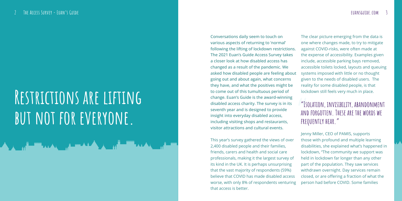Conversations daily seem to touch on various aspects of returning to 'normal' following the lifting of lockdown restrictions. The 2021 Euan's Guide Access Survey takes a closer look at how disabled access has changed as a result of the pandemic. We asked how disabled people are feeling about going out and about again, what concerns they have, and what the positives might be to come out of this tumultuous period of change. Euan's Guide is the award-winning disabled access charity. The survey is in its seventh year and is designed to provide insight into everyday disabled access, including visiting shops and restaurants, visitor attractions and cultural events.

This year's survey gathered the views of over 2,400 disabled people and their families, friends, carers and health and social care professionals, making it the largest survey of its kind in the UK. It is perhaps unsurprising that the vast majority of respondents (59%) believe that COVID has made disabled access worse, with only 8% of respondents venturing that access is better.

The clear picture emerging from the data is one where changes made, to try to mitigate against COVID-risks, were often made at the expense of accessibility. Examples given include, accessible parking bays removed, accessible toilets locked, layouts and queuing systems imposed with little or no thought given to the needs of disabled users. The reality for some disabled people, is that lockdown still feels very much in place.

Jenny Miller, CEO of PAMIS, supports those with profound and multiple learning disabilities, she explained what's happened in lockdown, "The community we support was held in lockdown far longer than any other part of the population. They saw services withdrawn overnight. Day services remain closed, or are offering a fraction of what the person had before COVID. Some families

## **"Isolation, invisibility, abandonment and forgotten. These are the words we frequently hear."**

## **Restrictions are lifting**  BUT NOT FOR EVERYONE.

▟▖▁▏▁<del>▕▊▁▓▓▗▗▗▖▏▕▁▓▁▓▖▞▞</del>▖▏▁▞▖▏▞▏▏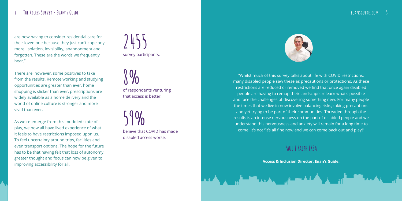"Whilst much of this survey talks about life with COVID restrictions, many disabled people saw these as precautions or protections. As these restrictions are reduced or removed we find that once again disabled people are having to remap their landscape, relearn what's possible and face the challenges of discovering something new. For many people the times that we live in now involve balancing risks, taking precautions and yet trying to be part of their communities. Threaded through the results is an intense nervousness on the part of disabled people and we understand this nervousness and anxiety will remain for a long time to come. It's not "it's all fine now and we can come back out and play!"

**Paul J Ralph FRSA** 

**Access & Inclusion Director, Euan's Guide .**

are now having to consider residential care for their loved one because they just can't cope any more. Isolation, invisibility, abandonment and forgotten. These are the words we frequently hear."

There are, however, some positives to take from the results. Remote working and studying opportunities are greater than ever, home shopping is slicker than ever, prescriptions are widely available as a home delivery and the world of online culture is stronger and more vivid than ever.

As we re-emerge from this muddled state of play, we now all have lived experience of what it feels to have restrictions imposed upon us. To feel uncertainty around trips, facilities and even transport options. The hope for the future has to be that having felt that loss of autonomy, greater thought and focus can now be given to improving accessibility for all.

believe that COVID has made disabled access worse. **59%**



of respondents venturing that access is better.

survey participants. **2455**

**8%**

## **4 The Access Survey - Euan's Guide euansguide.com**

## **5**



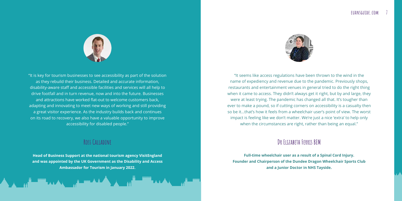"It seems like access regulations have been thrown to the wind in the name of expediency and revenue due to the pandemic. Previously shops, restaurants and entertainment venues in general tried to do the right thing when it came to access. They didn't always get it right, but by and large, they were at least trying. The pandemic has changed all that. It's tougher than ever to make a pound, so if cutting corners on accessibility is a casualty then so be it…that's how it feels from a wheelchair user's point of view. The worst impact is feeling like we don't matter. We're just a nice 'extra' to help only when the circumstances are right, rather than being an equal."

## **Dr Elizabeth Ferris BEM**

**Full-time wheelchair user as a result of a Spinal Cord Injury. Founder and Chairperson of the Dundee Dragon Wheelchair Sports Club and a Junior Doctor in NHS Tayside.**

## **6 The Access Survey - Euan's Guide euansguide.com 7**



"It is key for tourism businesses to see accessibility as part of the solution as they rebuild their business. Detailed and accurate information, disability-aware staff and accessible facilities and services will all help to drive footfall and in turn revenue, now and into the future. Businesses and attractions have worked flat-out to welcome customers back, adapting and innovating to meet new ways of working and still providing a great visitor experience. As the industry builds back and continues on its road to recovery, we also have a valuable opportunity to improve accessibility for disabled people."

## **Ross Calladine**

**Head of Business Support at the national tourism agency VisitEngland and was appointed by the UK Government as the Disability and Access Ambassador for Tourism in January 2022.**

**ATAL TERM ATA** 

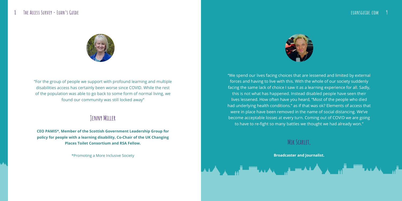"For the group of people we support with profound learning and multiple disabilities access has certainly been worse since COVID. While the rest of the population was able to go back to some form of normal living, we found our community was still locked away"

## **Jenny Miller**

**CEO PAMIS\*, Member of the Scottish Government Leadership Group for policy for people with a learning disability, Co-Chair of the UK Changing Places Toilet Consortium and RSA Fellow.** 

\*Promoting a More Inclusive Society



"We spend our lives facing choices that are lessened and limited by external forces and having to live with this. With the whole of our society suddenly facing the same lack of choice I saw it as a learning experience for all. Sadly, this is not what has happened. Instead disabled people have seen their lives lessened. How often have you heard, "Most of the people who died had underlying health conditions." as if that was ok? Elements of access that were in place have been removed in the name of social distancing. We've become acceptable losses at every turn. Coming out of COVID we are going to have to re-fight so many battles we thought we had already won."

## **Mik Scarlet,**

**Broadcaster and Journalist.**





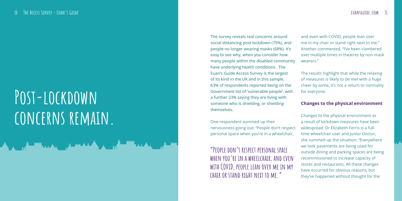The survey reveals real concerns around social distancing post lockdown (75%), and people no longer wearing masks (68%). It's easy to see why, when you consider how many people within the disabled community have underlying health conditions. The Euan's Guide Access Survey is the largest of its kind in the UK and in this sample, 63% of respondents reported being on the Government list of 'vulnerable people', with a further 23% saying they are living with someone who is shielding, or shielding themselves.

One respondent summed up their nervousness going out: "People don't respect personal space when you're in a wheelchair,

and even with COVID, people lean over me in my chair or stand right next to me." Another commented, "I've been clambered over multiple times in theatres by non-mask wearers."

**"People don't respect personal space when you're in a wheelchair, and even with COVID, people lean over me in my chair or stand right next to me." "**<br>PEI<br>WHE<br>WITH

The results highlight that while the relaxing of measures is likely to be met with a huge cheer by some, it's not a return to normality for everyone.

## **Changes to the physical environment**

Changes to the physical environment as a result of lockdown measures have been widespread. Dr Elizabeth Ferris is a fulltime wheelchair user and Junior Doctor, she summed up the situation: "Everywhere we look pavements are being used for outside dining and parking spaces are being recommissioned to increase capacity of stores and restaurants. All these changes have occurred for obvious reasons, but they've happened without thought for the

## **Post-lockdown concerns remain.**

▟▖▏▕▖▓▀▀▀▞▞▖▕▓▀▀▀▞▚▞▖▏▓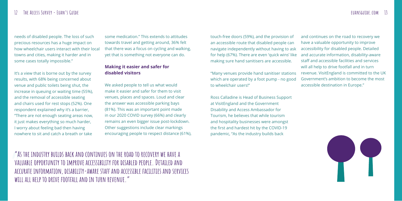needs of disabled people. The loss of such precious resources has a huge impact on how wheelchair users interact with their local towns and cities, making it harder and in some cases totally impossible."

It's a view that is borne out by the survey results, with 68% being concerned about venue and public toilets being shut, the increase in queuing or waiting time (55%), and the removal of accessible seating and chairs used for rest stops (52%). One respondent explained why it's a barrier, "There are not enough seating areas now, it just makes everything so much harder, I worry about feeling bad then having nowhere to sit and catch a breath or take

some medication." This extends to attitudes towards travel and getting around, 36% felt that there was a focus on cycling and walking, yet that is something not everyone can do.

## **Making it easier and safer for disabled visitors**

We asked people to tell us what would make it easier and safer for them to visit venues, places and spaces. Loud and clear the answer was accessible parking bays (81%). This was an important point made in our 2020 COVID survey (66%) and clearly remains an even bigger issue post-lockdown. Other suggestions include clear markings encouraging people to respect distance (61%), touch-free doors (59%), and the provision of an accessible route that disabled people can navigate independently without having to ask for help (67%). There are even 'quick wins' like making sure hand sanitisers are accessible.

Ross Calladine is Head of Business Support at VisitEngland and the Government Disability and Access Ambassador for Tourism, he believes that while tourism and hospitality businesses were amongst the first and hardest hit by the COVID-19 pandemic, "As the industry builds back

**"As the industry builds back and continues on the road to recovery we have a valuable opportunity to improve accessibility for disabled people. Detailed and accurate information, disability-aware staff and accessible facilities and services**  "As<br>VALI<br>ACCL<br>WILI **will all help to drive footfall and in turn revenue."**



"Many venues provide hand sanitiser stations which are operated by a foot pump - no good to wheelchair users!" and continues on the road to recovery we have a valuable opportunity to improve accessibility for disabled people. Detailed and accurate information, disability-aware staff and accessible facilities and services will all help to drive footfall and in turn revenue. VisitEngland is committed to the UK Government's ambition to become the most accessible destination in Europe."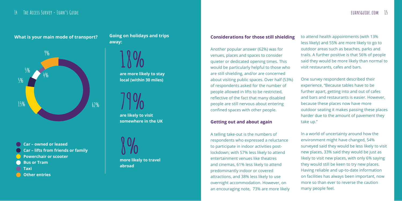Another popular answer (62%) was for venues, places and spaces to consider quieter or dedicated opening times. This would be particularly helpful to those who are still shielding, and/or are concerned about visiting public spaces. Over half (53%) of respondents asked for the number of people allowed in lifts to be restricted, reflective of the fact that many disabled people are still nervous about entering confined spaces with other people.

### **Getting out and about again**

A telling take-out is the numbers of respondents who expressed a reluctance to participate in indoor activities postlockdown; with 57% less likely to attend entertainment venues like theatres and cinemas, 61% less likely to attend predominantly indoor or covered attractions, and 38% less likely to use overnight accommodation. However, on an encouraging note, 73% are more likely

**Going on holidays and trips away:**

**Car – owned or leased Car – lifts from friends or family Powerchair or scooter Bus or Tram Taxi Other entries** 

less likely) and 55% are more likely to go to outdoor areas such as beaches, parks and trails. A further positive is that 56% of people said they would be more likely than normal to visit restaurants, cafes and bars.

One survey respondent described their experience, "Because tables have to be further apart, getting into and out of cafes and bars and restaurants is easier. However, because these places now have more outdoor seating it makes passing these places harder due to the amount of pavement they take up."

In a world of uncertainty around how the environment might have changed, 54% surveyed said they would be less likely to visit new places, 33% said they would be just as likely to visit new places, with only 6% saying they would still be keen to try new places. Having reliable and up-to-date information on facilities has always been important, now more so than ever to reverse the caution many people feel.

**are more likely to stay local (within 30 miles) 18%**

**are likely to visit somewhere in the UK**



**more likely to travel abroad 8%**

## What is your main mode of transport? The Louis on holidays and trips **Considerations for those still shielding** to attend health appointments (with 13%)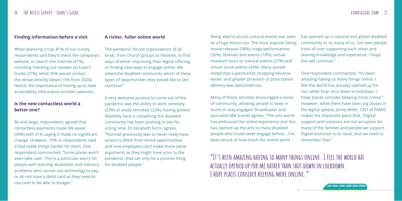## **Finding information before a visit**

When planning a trip, 81% of our survey respondents said they'd check the company's website, or search the internet (47%), including checking out reviews on Euan's Guide (27%), while 35% would contact the venue directly (down 15% from 2020). Hence, the importance of having up to date accessibility information on their websites.

## **Is the new contactless world a better one?**

By and large, respondents agreed that contactless payments made life easier (59%) with 31% saying it made no significant change. However, 10% or respondents said it had made things harder for them. One respondent commented, "Some places won't even take cash. This is a particular worry for people with learning disabilities and memory problems who cannot use technology to pay, or do not have a debit card as they need to use cash to be able to budget."

### **A richer, fuller online world**

The pandemic forced organisations of all kinds, from church groups to theatres, to find ways of either improving their digital offering, or finding new ways to engage online. We asked the disabled community which of these types of opportunities they would like to see continue?

A very welcome positive to come out of the pandemic was the ability to work remotely (23%) or study remotely (23%), having greater flexibility here is something the disabled community has been pushing to see for a long time. Dr Elizabeth Ferris agrees, "'Normal' previously was to never really have access to Work from Home opportunities and now employers can't make those same arguments as they might have prior to the pandemic; that can only be a positive thing for disabled people."

**"It's been amazing having so many things online. I feel the world has actually opened up for me rather than shut down in lockdown. I hope places consider keeping more online." "**

Being able to access cultural events was seen as a huge bonus too. The most popular being; movie releases (38%), stage performances (32%), festivals and events (18%), virtual museum tours or cultural events (27%) and virtual social events (34%). Many people noted that supermarket shopping became easier, and greater provision of prescription delivery was welcomed too. has opened up a national and global disabled community to so many of us. I've seen people from all over supporting each other and sharing knowledge and experience. I hope this will continue." One respondent commented, "It's been amazing having so many things online. I feel the world has actually opened up for

Many of these activities encouraged a sense of community, allowing people to keep in touch or stay engaged. Broadcaster and journalist Mik Scarlet agrees, "The arts world has embraced the online experience and this has opened up the arts to many disabled people who could never engage before….I've been struck at how much the online world

me rather than shut down in lockdown. I hope places consider keeping more online." However, while there have been big pluses in the digital sphere, Jenny Miller, CEO of PAMIS makes the important point that, "Digital support and solutions are not an option for many of the families and people we support. Digital exclusion is an issue, and we need to remember that."

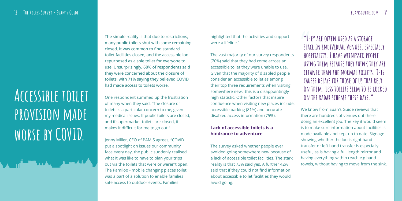The simple reality is that due to restrictions, many public toilets shut with some remaining closed. It was common to find standard toilet facilities closed, and the accessible loo repurposed as a sole toilet for everyone to use. Unsurprisingly, 68% of respondents said they were concerned about the closure of toilets, with 71% saying they believed COVID had made access to toilets worse.

One respondent summed up the frustration of many when they said, "The closure of toilets is a particular concern to me, given my medical issues. If public toilets are closed, and if supermarket toilets are closed, it makes it difficult for me to go out."

Jenny Miller, CEO of PAMIS agrees, "COVID put a spotlight on issues our community face every day, the public suddenly realised what it was like to have to plan your trips out via the toilets that were or weren't open. The Pamiloo - mobile changing places toilet was a part of a solution to enable families safe access to outdoor events. Families

**"They are often used as a storage space in individual venues, especially hospitality. I have witnessed people using them because they think they are cleaner than the normal toilets. This causes delays for those of us that rely on them. Less toilets seem to be locked on the radar scheme these days." "TH**<br>SPAC<br>HOS

highlighted that the activities and support were a lifeline."

The vast majority of our survey respondents (70%) said that they had come across an accessible toilet they were unable to use. Given that the majority of disabled people consider an accessible toilet as among their top three requirements when visiting somewhere new, this is a disappointingly high statistic. Other factors that inspire confidence when visiting new places include; accessible parking (81%) and accurate disabled access information (75%).

## **Lack of accessible toilets is a hindrance to adventure**

The survey asked whether people ever avoided going somewhere new because of a lack of accessible toilet facilities. The stark reality is that 73% said yes. A further 42% said that if they could not find information about accessible toilet facilities they would avoid going.

## **Accessible toilet provision made worse by COVID.**

## **18 The Access Survey - Euan's Guide euansguide.com 19**

We know from Euan's Guide reviews that there are hundreds of venues out there doing an excellent job. The key it would seem is to make sure information about facilities is made available and kept up to date. Signage showing whether the loo is right hand transfer or left hand transfer is especially useful, as is having a full length mirror and having everything within reach e.g hand towels, without having to move from the sink.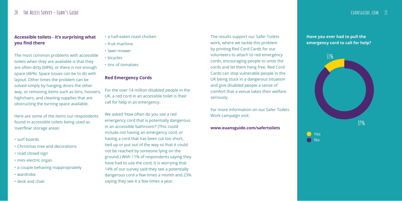## **Accessible toilets - it's surprising what you find there**

The most common problems with accessible toilets when they are available is that they are often dirty (68%), or there is not enough space (46%). Space issues can be to do with layout. Other times the problem can be solved simply by hanging doors the other way, or removing items such as bins, hoovers, highchairs, and cleaning supplies that are obstructing the turning space available.

Here are some of the items our respondents found in accessible toilets being used as 'overflow' storage areas:

- surf boards
- Christmas tree and decorations
- road closed sign
- mini electric organ
- a couple behaving inappropriately
- wardrobe
- desk and chair
- a half-eaten roast chicken
- fruit machine
- lawn mower
- bicycles
- tins of tomatoes

## **Red Emergency Cords**

For the over 14 million disabled people in the UK, a red cord in an accessible toilet is their call for help in an emergency.

We asked 'How often do you see a red emergency cord that is potentially dangerous in an accessible bathroom?' (This could include not having an emergency cord, or having a cord that has been cut too short, tied up or put out of the way so that it could not be reached by someone lying on the ground.) With 11% of respondents saying they have had to use the cord, it is worrying that 14% of our survey said they see a potentially dangerous cord a few times a month and 23% saying they see it a few times a year.

The results support our Safer Toilets work, where we tackle this problem by printing Red Cord Cards for our volunteers to attach to red emergency cords, encouraging people to untie the cords and let them hang free. Red Cord Cards can stop vulnerable people in the UK being stuck in a dangerous situation and give disabled people a sense of comfort that a venue takes their welfare seriously.

For more information on our Safer Toilets Work campaign visit:

### **www.euansguide.com/safertoilets**

## **Have you ever had to pull the emergency cord to call for help?**



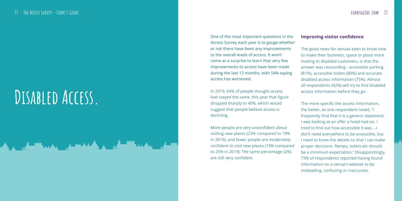One of the most important questions in the Access Survey each year is to gauge whether or not there have been any improvements to the overall levels of access. It won't come as a surprise to learn that very few improvements to access have been made during the last 12 months, with 54% saying access has worsened.

In 2019, 64% of people thought access had stayed the same, this year that figure dropped sharply to 40%, which would suggest that people believe access is declining.

More people are very unconfident about visiting new places (23% compared to 19% in 2019), and fewer people are moderately confident to visit new places (19% compared to 25% in 2019). The same percentage (2%) are still very confident.

### **Improving visitor confidence**

The good news for venues keen to know how to make their business, space or place more inviting to disabled customers, is that the answer was resounding - accessible parking (81%), accessible toilets (80%) and accurate disabled access information (75%). Almost all respondents (92%) will try to find disabled access information before they go.

The more specific the access information, the better, as one respondent noted, "I frequently find that it is a generic statement. I was looking at an offer a hotel had on. I tried to find out how accessible it was….I don't need everywhere to be accessible, but I need to know the details so that I can make proper decisions. Ramps, toilets etc should be a minimum expectation." Disappointingly, 73% of respondents reported having found information on a venue's website to be misleading, confusing or inaccurate.

## **Disabled Access.**

<del>ᄉ</del>ᆺᇬᇚ<del>ᄟᅟᄪ</del>ᇅᇧᆺᇢᇳᆂᆓᆦᄼᆺᆺᇬᆥᆖᄪᄟᇧ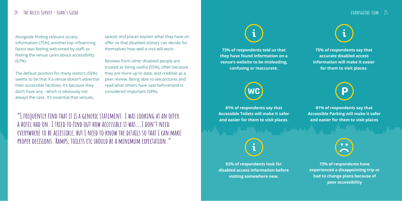Alongside finding relevant access information (75%), another top influencing factor was feeling welcomed by staff, or feeling the venue cares about accessibility (67%).

The default position for many visitors (56%) seems to be that if a venue doesn't advertise their accessible facilities, it's because they don't have any - which is obviously not always the case. It's essential that venues,

## **24 The Access Survey - Euan's Guide euansguide.com 25**

**73% of respondents told us that they have found information on a venue's website to be misleading, confusing or inaccurate.**



**92% of respondents look for disabled access information before visiting somewhere new.**



**81% of respondents say that Accessible Parking will make it safer and easier for them to visit places**



**81% of respondents say that Accessible Toilets will make it safer and easier for them to visit places.**

**75% of respondents say that accurate disabled access information will make it easier for them to visit places.**



**"I frequently find that it is a generic statement. I was looking at an offer a hotel had on. I tried to find out how accessible it was….I don't need everywhere to be accessible, but I need to know the details so that I can make proper decisions. Ramps, toilets etc should be a minimum expectation."**

spaces and places explain what they have on offer so that disabled visitors can decide for themselves how well a visit will work.

Reviews from other disabled people are trusted as being useful (55%), often because they are more up to date, and credible as a peer review. Being able to see pictures and read what others have said beforehand is considered important (58%).

> **73% of respondents have experienced a disappointing trip or had to change plans because of poor accessibility**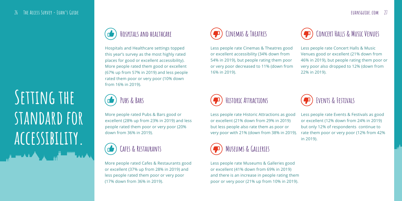Hospitals and Healthcare settings topped this year's survey as the most highly rated places for good or excellent accessibility). More people rated them good or excellent (67% up from 57% in 2019) and less people rated them poor or very poor (10% down from 16% in 2019).



More people rated Pubs & Bars good or excellent (28% up from 23% in 2019) and less people rated them poor or very poor (20% down from 36% in 2019).

More people rated Cafes & Restaurants good or excellent (37% up from 28% in 2019) and less people rated them poor or very poor (17% down from 36% in 2019).





**Pubs & Bars**



Less people rate Events & Festivals as good or excellent (12% down from 24% in 2019) but only 12% of respondents continue to rate them poor or very poor (12% from 42% in 2019). Less people rate Historic Attractions as good or excellent (21% down from 29% in 2019) but less people also rate them as poor or very poor with 21% (down from 38% in 2019).

Less people rate Museums & Galleries good or excellent (41% down from 69% in 2019) and there is an increase in people rating them poor or very poor (21% up from 10% in 2019).

## CINEMAS & THEATRES **CONCERT HALLS & MUSIC VENUES**





# **Setting the standard for accessibility.**

## **26 The Access Survey - Euan's Guide euansguide.com 27**

Less people rate Concert Halls & Music Venues good or excellent (21% down from 46% in 2019), but people rating them poor or very poor also dropped to 12% (down from 22% in 2019).

Less people rate Cinemas & Theatres good or excellent accessibility (34% down from 54% in 2019), but people rating them poor or very poor decreased to 11% (down from 16% in 2019).

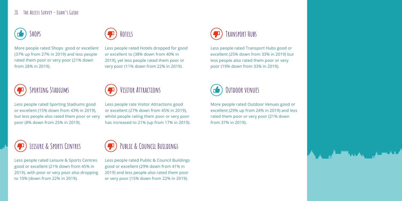Less people rated Transport Hubs good or excellent (25% down from 33% in 2019) but less people also rated them poor or very poor (19% down from 33% in 2019).

More people rated Outdoor Venues good or excellent (29% up from 24% in 2019) and less rated them poor or very poor (21% down from 37% in 2019).



Less people rated Hotels dropped for good or excellent to (38% down from 40% in 2019), yet less people rated them poor or very poor (11% down from 22% in 2019).

Less people rated Sporting Stadiums good or excellent (15% down from 43% in 2019), but less people also rated them poor or very poor (8% down from 25% in 2019).

Less people rated Leisure & Sports Centres good or excellent (21% down from 45% in 2019), with poor or very poor also dropping to 10% (down from 22% in 2019).

Less people rated Public & Council Buildings good or excellent (29% down from 41% in 2019) and less people also rated them poor or very poor (15% down from 22% in 2019).













Less people rate Visitor Attractions good or excellent (27% down from 45% in 2019), whilst people rating them poor or very poor has increased to 21% (up from 17% in 2019).

More people rated Shops good or excellent (37% up from 27% in 2019) and less people rated them poor or very poor (21% down from 28% in 2019).

## **Visitor Attractions**

## 28 **THE ACCESS SURVEY - EUAN'S GUIDE**

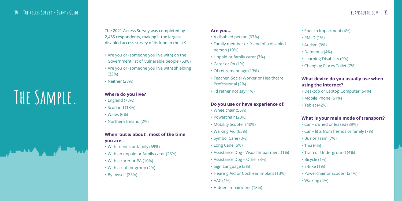The 2021 Access Survey was completed by 2,455 respondents, making it the largest disabled access survey of its kind in the UK.

- Are you or (someone you live with) on the Government list of 'vulnerable people' (63%)
- Are you or (someone you live with) shielding (23%)
- Neither (28%)

## **Where do you live?**

- England (78%)
- Scotland (13%)
- Wales (6%)
- Northern Ireland (2%)

## **When 'out & about', most of the time you are..**

- With friends or family (69%)
- With an unpaid or family carer (26%)
- With a carer or PA (10%)
- With a club or group (2%)
- By myself (25%)

### **Are you...**

- A disabled person (97%)
- Family member or friend of a disabled person (10%)
- Unpaid or family carer (7%)
- Carer or PA (1%)
- Of retirement age (13%)
- Teacher, Social Worker or Healthcare Professional (2%)
- I'd rather not say (1%)

## **Do you use or have experience of:**

- Wheelchair (55%)
- Powerchair (20%)
- Mobility Scooter (40%)
- Walking Aid (65%)
- Symbol Cane (3%)
- Long Cane (5%)
- Assistance Dog Visual Impairment (1%)
- Assistance Dog Other (3%)
- Sign Language (3%)
- Hearing Aid or Cochlear Implant (13%)
- AAC (1%)
- Hidden Impairment (18%)

- Speech Impairment (4%)
- PMLD (1%)
- Autism (9%)
- Dementia (4%)
- Learning Disability (9%)
- Changing Places Toilet (7%)

## **What device do you usually use when using the internet?**

- Desktop or Laptop Computer (54%)
- Mobile Phone (61%)
- Tablet (42%)

## **What is your main mode of transport?**

- Car owned or leased (89%)
- Car lifts from friends or family (7%)
- Bus or Tram (7%)
- Taxi (6%)
- Train or Underground (4%)
- Bicycle (1%)
- E-Bike (1%)
- Powerchair or scooter (21%)
- Walking (4%)

# **The Sample.**

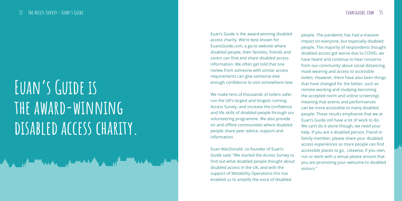Euan's Guide is the award-winning disabled access charity. We're best known for EuansGuide.com, a go-to website where disabled people, their families, friends and carers can find and share disabled access information. We often get told that one review from someone with similar access requirements can give someone else enough confidence to visit somewhere new.

We make tens of thousands of toilers safer, run the UK's largest and longest running Access Survey, and increase the confidence and life skills of disabled people through our volunteering programme. We also provide on and offline communities where disabled people share peer advice, support and information.

Euan MacDonald, co-founder of Euan's Guide said: "We started the Access Survey to find out what disabled people thought about disabled access in the UK, and with the support of Motability Operations this has enabled us to amplify the voice of disabled

people. The pandemic has had a massive impact on everyone, but especially disabled people. The majority of respondents thought disabled access got worse due to COVID, we have heard and continue to hear concerns from our community about social distancing, mask wearing and access to accessible toilets. However, there have also been things that have changed for the better, such as remote working and studying becoming the accepted norm and online screenings meaning that events and performances can be more accessible to many disabled people. These results emphasise that we at Euan's Guide still have a lot of work to do. We can't do it alone though, we need your help. If you are a disabled person, friend or family member, please share your disabled access experiences so more people can find accessible places to go. Likewise, if you own, run or work with a venue please ensure that you are promoting your welcome to disabled visitors."

# **Euan's Guide is the award-winning disabled access charity.**

▟▖▁▕<sub>▗</sub>▝▏▀▀▗▗▗▖▕▗▘▀▀▟▟▗▕▖▎▏▏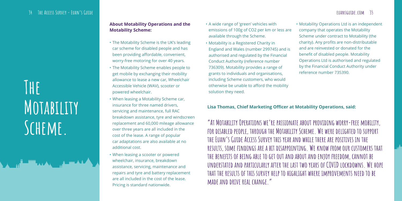## **34 The Access Survey - Euan's Guide**

**The Motability Scheme.** 

## **About Motability Operations and the Motability Scheme:**

- The Motability Scheme is the UK's leading car scheme for disabled people and has been providing affordable, convenient, worry-free motoring for over 40 years.
- The Motability Scheme enables people to get mobile by exchanging their mobility allowance to lease a new car, Wheelchair Accessible Vehicle (WAV), scooter or powered wheelchair.
- When leasing a Motability Scheme car, insurance for three named drivers, servicing and maintenance, full RAC breakdown assistance, tyre and windscreen replacement and 60,000 mileage allowance over three years are all included in the cost of the lease. A range of popular car adaptations are also available at no additional cost.
- When leasing a scooter or powered wheelchair, insurance, breakdown assistance, servicing, maintenance and repairs and tyre and battery replacement are all included in the cost of the lease. Pricing is standard nationwide.
- A wide range of 'green' vehicles with emissions of 100g of CO2 per km or less are available through the Scheme.
- Motability is a Registered Charity in England and Wales (number 299745) and is authorised and regulated by the Financial Conduct Authority (reference number 736309). Motability provides a range of grants to individuals and organisations, including Scheme customers, who would otherwise be unable to afford the mobility solution they need.

## **euansguide.com 35**

• Motability Operations Ltd is an independent company that operates the Motability Scheme under contract to Motability (the charity). Any profits are non-distributable and are reinvested or donated for the benefit of disabled people. Motability Operations Ltd is authorised and regulated by the Financial Conduct Authority under reference number 735390.

## **Lisa Thomas, Chief Marketing Officer at Motability Operations, said:**

**"At Motability Operations we're passionate about providing worry-free mobility, for disabled people, through the Motability Scheme. We were delighted to support the Euan's Guide Access Survey this year and while there are positives in the results, some findings are a bit disappointing. We know from our customers that the benefits of being able to get out and about and enjoy freedom, cannot be understated and particularly after the last two years of COVID lockdowns. We hope that the results of this survey help to highlight where improvements need to be made and drive real change."**